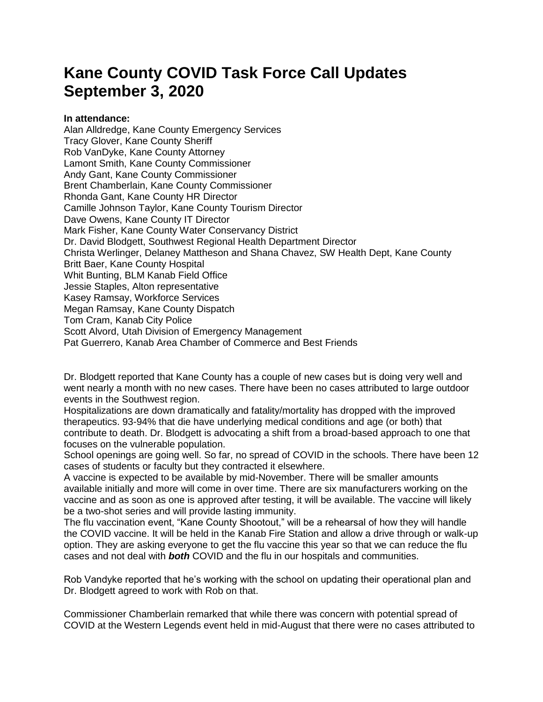## **Kane County COVID Task Force Call Updates September 3, 2020**

## **In attendance:**

Alan Alldredge, Kane County Emergency Services Tracy Glover, Kane County Sheriff Rob VanDyke, Kane County Attorney Lamont Smith, Kane County Commissioner Andy Gant, Kane County Commissioner Brent Chamberlain, Kane County Commissioner Rhonda Gant, Kane County HR Director Camille Johnson Taylor, Kane County Tourism Director Dave Owens, Kane County IT Director Mark Fisher, Kane County Water Conservancy District Dr. David Blodgett, Southwest Regional Health Department Director Christa Werlinger, Delaney Mattheson and Shana Chavez, SW Health Dept, Kane County Britt Baer, Kane County Hospital Whit Bunting, BLM Kanab Field Office Jessie Staples, Alton representative Kasey Ramsay, Workforce Services Megan Ramsay, Kane County Dispatch Tom Cram, Kanab City Police Scott Alvord, Utah Division of Emergency Management Pat Guerrero, Kanab Area Chamber of Commerce and Best Friends

Dr. Blodgett reported that Kane County has a couple of new cases but is doing very well and went nearly a month with no new cases. There have been no cases attributed to large outdoor events in the Southwest region.

Hospitalizations are down dramatically and fatality/mortality has dropped with the improved therapeutics. 93-94% that die have underlying medical conditions and age (or both) that contribute to death. Dr. Blodgett is advocating a shift from a broad-based approach to one that focuses on the vulnerable population.

School openings are going well. So far, no spread of COVID in the schools. There have been 12 cases of students or faculty but they contracted it elsewhere.

A vaccine is expected to be available by mid-November. There will be smaller amounts available initially and more will come in over time. There are six manufacturers working on the vaccine and as soon as one is approved after testing, it will be available. The vaccine will likely be a two-shot series and will provide lasting immunity.

The flu vaccination event, "Kane County Shootout," will be a rehearsal of how they will handle the COVID vaccine. It will be held in the Kanab Fire Station and allow a drive through or walk-up option. They are asking everyone to get the flu vaccine this year so that we can reduce the flu cases and not deal with *both* COVID and the flu in our hospitals and communities.

Rob Vandyke reported that he's working with the school on updating their operational plan and Dr. Blodgett agreed to work with Rob on that.

Commissioner Chamberlain remarked that while there was concern with potential spread of COVID at the Western Legends event held in mid-August that there were no cases attributed to